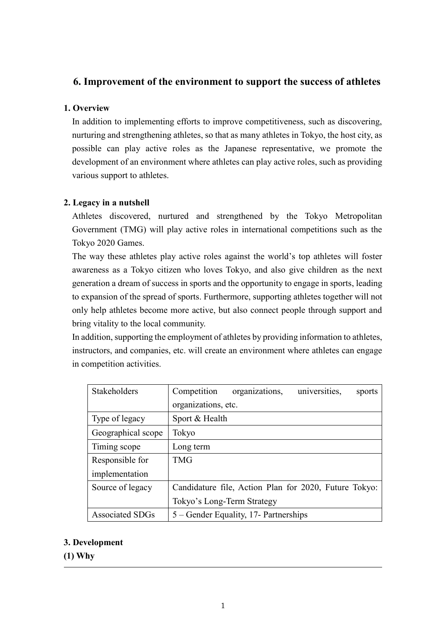# **6. Improvement of the environment to support the success of athletes**

## **1. Overview**

In addition to implementing efforts to improve competitiveness, such as discovering, nurturing and strengthening athletes, so that as many athletes in Tokyo, the host city, as possible can play active roles as the Japanese representative, we promote the development of an environment where athletes can play active roles, such as providing various support to athletes.

## **2. Legacy in a nutshell**

Athletes discovered, nurtured and strengthened by the Tokyo Metropolitan Government (TMG) will play active roles in international competitions such as the Tokyo 2020 Games.

The way these athletes play active roles against the world's top athletes will foster awareness as a Tokyo citizen who loves Tokyo, and also give children as the next generation a dream of success in sports and the opportunity to engage in sports, leading to expansion of the spread of sports. Furthermore, supporting athletes together will not only help athletes become more active, but also connect people through support and bring vitality to the local community.

In addition, supporting the employment of athletes by providing information to athletes, instructors, and companies, etc. will create an environment where athletes can engage in competition activities.

| Stakeholders           | universities,<br>organizations,<br>Competition<br>sports |
|------------------------|----------------------------------------------------------|
|                        | organizations, etc.                                      |
| Type of legacy         | Sport & Health                                           |
| Geographical scope     | Tokyo                                                    |
| Timing scope           | Long term                                                |
| Responsible for        | <b>TMG</b>                                               |
| implementation         |                                                          |
| Source of legacy       | Candidature file, Action Plan for 2020, Future Tokyo:    |
|                        | Tokyo's Long-Term Strategy                               |
| <b>Associated SDGs</b> | 5 – Gender Equality, 17- Partnerships                    |

## **3. Development**

**(1) Why**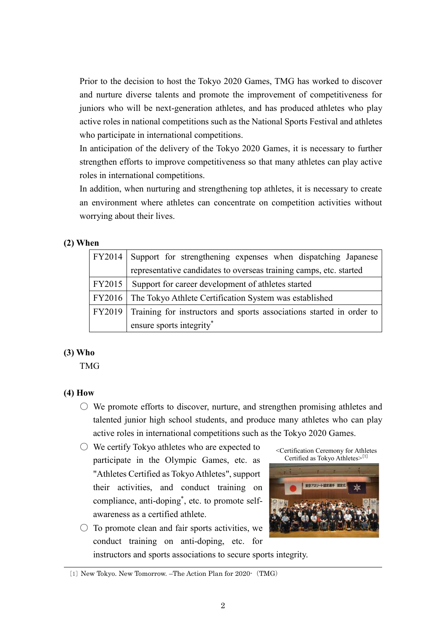Prior to the decision to host the Tokyo 2020 Games, TMG has worked to discover and nurture diverse talents and promote the improvement of competitiveness for juniors who will be next-generation athletes, and has produced athletes who play active roles in national competitions such as the National Sports Festival and athletes who participate in international competitions.

In anticipation of the delivery of the Tokyo 2020 Games, it is necessary to further strengthen efforts to improve competitiveness so that many athletes can play active roles in international competitions.

In addition, when nurturing and strengthening top athletes, it is necessary to create an environment where athletes can concentrate on competition activities without worrying about their lives.

#### **(2) When**

|        | FY2014 Support for strengthening expenses when dispatching Japanese  |  |
|--------|----------------------------------------------------------------------|--|
|        | representative candidates to overseas training camps, etc. started   |  |
| FY2015 | Support for career development of athletes started                   |  |
|        | FY2016   The Tokyo Athlete Certification System was established      |  |
| FY2019 | Training for instructors and sports associations started in order to |  |
|        | ensure sports integrity*                                             |  |

### **(3) Who**

TMG

### **(4) How**

- $\circlearrowright$  We promote efforts to discover, nurture, and strengthen promising athletes and talented junior high school students, and produce many athletes who can play active roles in international competitions such as the Tokyo 2020 Games.
- We certify Tokyo athletes who are expected to participate in the Olympic Games, etc. as "Athletes Certified as Tokyo Athletes", support their activities, and conduct training on compliance, anti-doping\* , etc. to promote selfawareness as a certified athlete.
- $\circ$  To promote clean and fair sports activities, we conduct training on anti-doping, etc. for instructors and sports associations to secure sports integrity.

<Certification Ceremony for Athletes Certified as Tokyo Athletes>[1]



<sup>[1]</sup> New Tokyo. New Tomorrow. –The Action Plan for 2020-(TMG)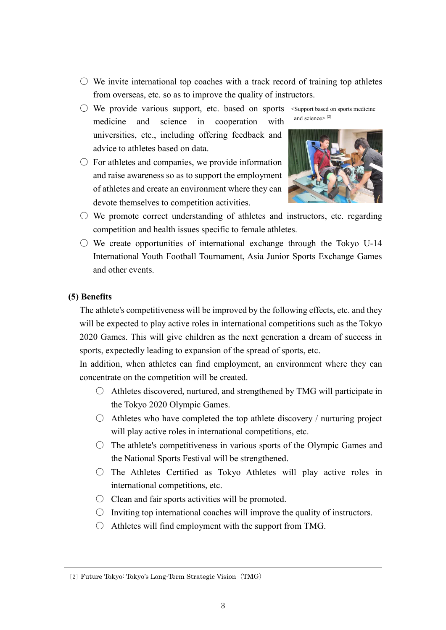- $\circlearrowright$  We invite international top coaches with a track record of training top athletes from overseas, etc. so as to improve the quality of instructors.
- We provide various support, etc. based on sports <Support based on sports medicine medicine and science in cooperation with universities, etc., including offering feedback and advice to athletes based on data.
- $\circ$  For athletes and companies, we provide information and raise awareness so as to support the employment of athletes and create an environment where they can devote themselves to competition activities.





- $\circlearrowright$  We promote correct understanding of athletes and instructors, etc. regarding competition and health issues specific to female athletes.
- $\circ$  We create opportunities of international exchange through the Tokyo U-14 International Youth Football Tournament, Asia Junior Sports Exchange Games and other events.

#### **(5) Benefits**

The athlete's competitiveness will be improved by the following effects, etc. and they will be expected to play active roles in international competitions such as the Tokyo 2020 Games. This will give children as the next generation a dream of success in sports, expectedly leading to expansion of the spread of sports, etc.

In addition, when athletes can find employment, an environment where they can concentrate on the competition will be created.

- Athletes discovered, nurtured, and strengthened by TMG will participate in the Tokyo 2020 Olympic Games.
- $\bigcirc$  Athletes who have completed the top athlete discovery / nurturing project will play active roles in international competitions, etc.
- $\circ$  The athlete's competitiveness in various sports of the Olympic Games and the National Sports Festival will be strengthened.
- $\circ$  The Athletes Certified as Tokyo Athletes will play active roles in international competitions, etc.
- $\bigcirc$  Clean and fair sports activities will be promoted.
- $\bigcirc$  Inviting top international coaches will improve the quality of instructors.
- $\bigcirc$  Athletes will find employment with the support from TMG.

<sup>[2]</sup> Future Tokyo: Tokyo's Long-Term Strategic Vision(TMG)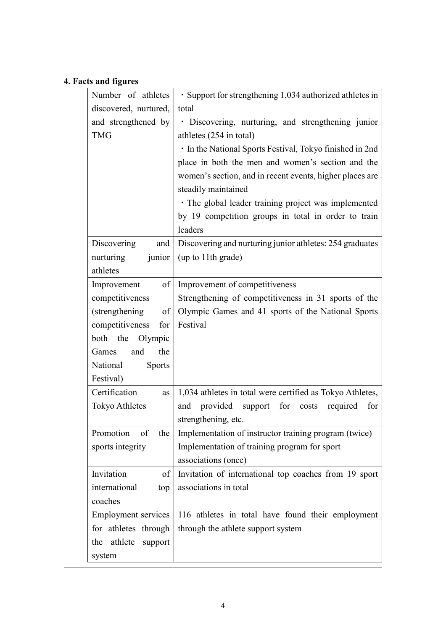# **4. Facts and figures**

| Number of athletes         | · Support for strengthening 1,034 authorized athletes in   |
|----------------------------|------------------------------------------------------------|
| discovered, nurtured,      | total                                                      |
| and strengthened by        | · Discovering, nurturing, and strengthening junior         |
| <b>TMG</b>                 | athletes (254 in total)                                    |
|                            | · In the National Sports Festival, Tokyo finished in 2nd   |
|                            | place in both the men and women's section and the          |
|                            | women's section, and in recent events, higher places are   |
|                            | steadily maintained                                        |
|                            | • The global leader training project was implemented       |
|                            | by 19 competition groups in total in order to train        |
|                            | leaders                                                    |
| Discovering<br>and         | Discovering and nurturing junior athletes: 254 graduates   |
| nurturing<br>junior        | (up to 11th grade)                                         |
| athletes                   |                                                            |
| Improvement<br>$\sigma$ f  | Improvement of competitiveness                             |
| competitiveness            | Strengthening of competitiveness in 31 sports of the       |
| (strengthening<br>of       | Olympic Games and 41 sports of the National Sports         |
| competitiveness<br>for     | Festival                                                   |
| both the Olympic           |                                                            |
| the<br>Games<br>and        |                                                            |
| National<br><b>Sports</b>  |                                                            |
| Festival)                  |                                                            |
| Certification<br>as        | 1,034 athletes in total were certified as Tokyo Athletes,  |
| <b>Tokyo Athletes</b>      | provided support<br>for<br>costs<br>required<br>for<br>and |
|                            | strengthening, etc.                                        |
| Promotion<br>of<br>the     | Implementation of instructor training program (twice)      |
| sports integrity           | Implementation of training program for sport               |
|                            | associations (once)                                        |
| Invitation<br>of           | Invitation of international top coaches from 19 sport      |
| international<br>top       | associations in total                                      |
| coaches                    |                                                            |
| <b>Employment services</b> | 116 athletes in total have found their employment          |
| for athletes through       | through the athlete support system                         |
| athlete<br>the<br>support  |                                                            |
| system                     |                                                            |